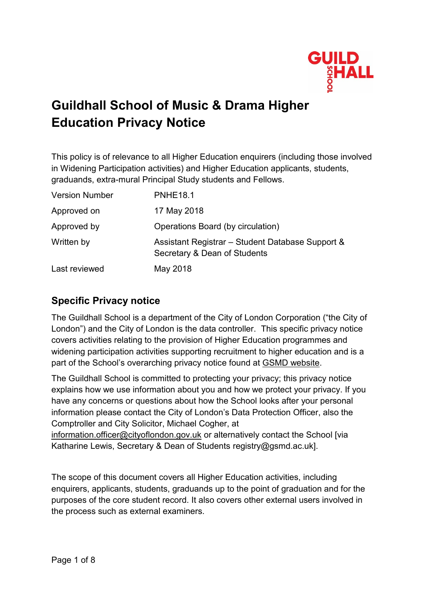

# **Guildhall School of Music & Drama Higher Education Privacy Notice**

This policy is of relevance to all Higher Education enquirers (including those involved in Widening Participation activities) and Higher Education applicants, students, graduands, extra-mural Principal Study students and Fellows.

| <b>Version Number</b> | <b>PNHE18.1</b>                                                                  |
|-----------------------|----------------------------------------------------------------------------------|
| Approved on           | 17 May 2018                                                                      |
| Approved by           | Operations Board (by circulation)                                                |
| Written by            | Assistant Registrar - Student Database Support &<br>Secretary & Dean of Students |
| Last reviewed         | May 2018                                                                         |

#### **Specific Privacy notice**

The Guildhall School is a department of the City of London Corporation ("the City of London") and the City of London is the data controller. This specific privacy notice covers activities relating to the provision of Higher Education programmes and widening participation activities supporting recruitment to higher education and is a part of the School's overarching privacy notice found at [GSMD website.](https://www.gsmd.ac.uk/privacy)

The Guildhall School is committed to protecting your privacy; this privacy notice explains how we use information about you and how we protect your privacy. If you have any concerns or questions about how the School looks after your personal information please contact the City of London's Data Protection Officer, also the Comptroller and City Solicitor, Michael Cogher, at

[information.officer@cityoflondon.gov.uk](mailto:information.officer@cityoflondon.gov.uk) or alternatively contact the School [via Katharine Lewis, Secretary & Dean of Students registry@gsmd.ac.uk].

The scope of this document covers all Higher Education activities, including enquirers, applicants, students, graduands up to the point of graduation and for the purposes of the core student record. It also covers other external users involved in the process such as external examiners.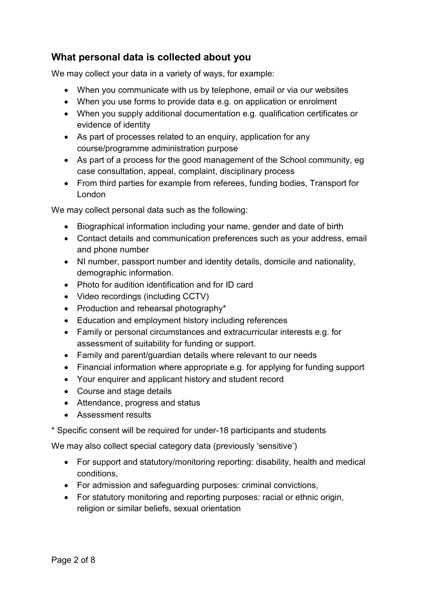## **What personal data is collected about you**

We may collect your data in a variety of ways, for example:

- When you communicate with us by telephone, email or via our websites
- When you use forms to provide data e.g. on application or enrolment
- When you supply additional documentation e.g. qualification certificates or evidence of identity
- As part of processes related to an enquiry, application for any course/programme administration purpose
- As part of a process for the good management of the School community, eg case consultation, appeal, complaint, disciplinary process
- From third parties for example from referees, funding bodies, Transport for London

We may collect personal data such as the following:

- Biographical information including your name, gender and date of birth
- Contact details and communication preferences such as your address, email and phone number
- NI number, passport number and identity details, domicile and nationality, demographic information.
- Photo for audition identification and for ID card
- Video recordings (including CCTV)
- Production and rehearsal photography\*
- Education and employment history including references
- Family or personal circumstances and extracurricular interests e.g. for assessment of suitability for funding or support.
- Family and parent/guardian details where relevant to our needs
- Financial information where appropriate e.g. for applying for funding support
- Your enquirer and applicant history and student record
- Course and stage details
- Attendance, progress and status
- Assessment results

\* Specific consent will be required for under-18 participants and students

We may also collect special category data (previously 'sensitive')

- For support and statutory/monitoring reporting: disability, health and medical conditions,
- For admission and safeguarding purposes: criminal convictions,
- For statutory monitoring and reporting purposes: racial or ethnic origin, religion or similar beliefs, sexual orientation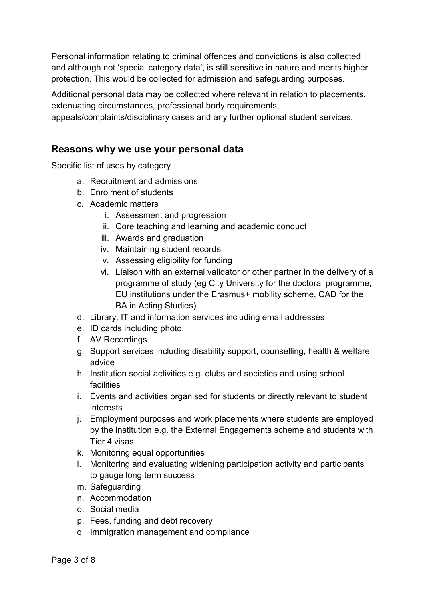Personal information relating to criminal offences and convictions is also collected and although not 'special category data', is still sensitive in nature and merits higher protection. This would be collected for admission and safeguarding purposes.

Additional personal data may be collected where relevant in relation to placements, extenuating circumstances, professional body requirements,

appeals/complaints/disciplinary cases and any further optional student services.

#### **Reasons why we use your personal data**

Specific list of uses by category

- a. Recruitment and admissions
- b. Enrolment of students
- c. Academic matters
	- i. Assessment and progression
	- ii. Core teaching and learning and academic conduct
	- iii. Awards and graduation
	- iv. Maintaining student records
	- v. Assessing eligibility for funding
	- vi. Liaison with an external validator or other partner in the delivery of a programme of study (eg City University for the doctoral programme, EU institutions under the Erasmus+ mobility scheme, CAD for the BA in Acting Studies)
- d. Library, IT and information services including email addresses
- e. ID cards including photo.
- f. AV Recordings
- g. Support services including disability support, counselling, health & welfare advice
- h. Institution social activities e.g. clubs and societies and using school facilities
- i. Events and activities organised for students or directly relevant to student interests
- j. Employment purposes and work placements where students are employed by the institution e.g. the External Engagements scheme and students with Tier 4 visas.
- k. Monitoring equal opportunities
- l. Monitoring and evaluating widening participation activity and participants to gauge long term success
- m. Safeguarding
- n. Accommodation
- o. Social media
- p. Fees, funding and debt recovery
- q. Immigration management and compliance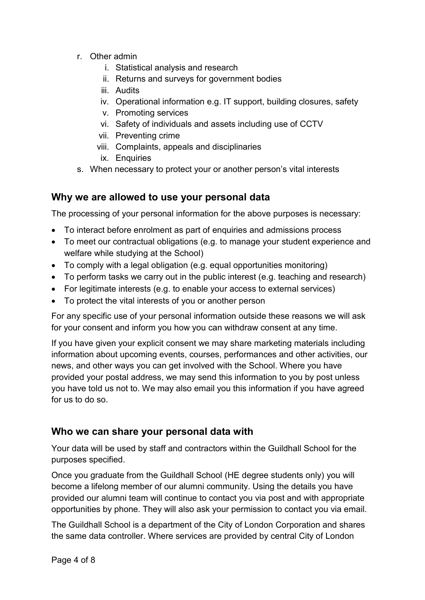- r. Other admin
	- i. Statistical analysis and research
	- ii. Returns and surveys for government bodies
	- iii. Audits
	- iv. Operational information e.g. IT support, building closures, safety
	- v. Promoting services
	- vi. Safety of individuals and assets including use of CCTV
	- vii. Preventing crime
	- viii. Complaints, appeals and disciplinaries
	- ix. Enquiries
- s. When necessary to protect your or another person's vital interests

#### **Why we are allowed to use your personal data**

The processing of your personal information for the above purposes is necessary:

- To interact before enrolment as part of enquiries and admissions process
- To meet our contractual obligations (e.g. to manage your student experience and welfare while studying at the School)
- To comply with a legal obligation (e.g. equal opportunities monitoring)
- To perform tasks we carry out in the public interest (e.g. teaching and research)
- For legitimate interests (e.g. to enable your access to external services)
- To protect the vital interests of you or another person

For any specific use of your personal information outside these reasons we will ask for your consent and inform you how you can withdraw consent at any time.

If you have given your explicit consent we may share marketing materials including information about upcoming events, courses, performances and other activities, our news, and other ways you can get involved with the School. Where you have provided your postal address, we may send this information to you by post unless you have told us not to. We may also email you this information if you have agreed for us to do so.

### **Who we can share your personal data with**

Your data will be used by staff and contractors within the Guildhall School for the purposes specified.

Once you graduate from the Guildhall School (HE degree students only) you will become a lifelong member of our alumni community. Using the details you have provided our alumni team will continue to contact you via post and with appropriate opportunities by phone. They will also ask your permission to contact you via email.

The Guildhall School is a department of the City of London Corporation and shares the same data controller. Where services are provided by central City of London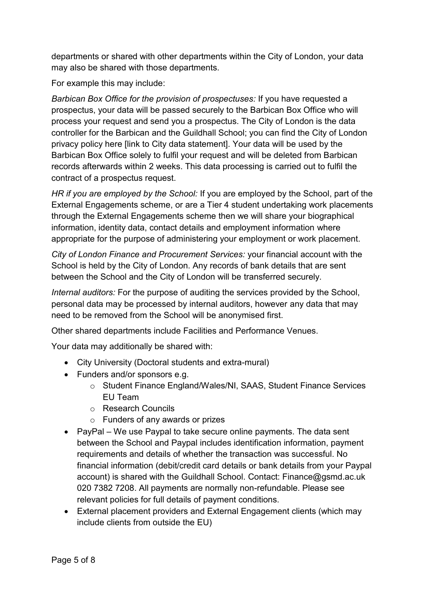departments or shared with other departments within the City of London, your data may also be shared with those departments.

For example this may include:

*Barbican Box Office for the provision of prospectuses:* If you have requested a prospectus, your data will be passed securely to the Barbican Box Office who will process your request and send you a prospectus. The City of London is the data controller for the Barbican and the Guildhall School; you can find the City of London privacy policy here [link to City data statement]. Your data will be used by the Barbican Box Office solely to fulfil your request and will be deleted from Barbican records afterwards within 2 weeks. This data processing is carried out to fulfil the contract of a prospectus request.

*HR if you are employed by the School:* If you are employed by the School, part of the External Engagements scheme, or are a Tier 4 student undertaking work placements through the External Engagements scheme then we will share your biographical information, identity data, contact details and employment information where appropriate for the purpose of administering your employment or work placement.

*City of London Finance and Procurement Services:* your financial account with the School is held by the City of London. Any records of bank details that are sent between the School and the City of London will be transferred securely.

*Internal auditors:* For the purpose of auditing the services provided by the School, personal data may be processed by internal auditors, however any data that may need to be removed from the School will be anonymised first.

Other shared departments include Facilities and Performance Venues.

Your data may additionally be shared with:

- City University (Doctoral students and extra-mural)
- Funders and/or sponsors e.g.
	- o Student Finance England/Wales/NI, SAAS, Student Finance Services EU Team
	- o Research Councils
	- o Funders of any awards or prizes
- PayPal We use Paypal to take secure online payments. The data sent between the School and Paypal includes identification information, payment requirements and details of whether the transaction was successful. No financial information (debit/credit card details or bank details from your Paypal account) is shared with the Guildhall School. Contact: Finance@gsmd.ac.uk 020 7382 7208. All payments are normally non-refundable. Please see relevant policies for full details of payment conditions.
- External placement providers and External Engagement clients (which may include clients from outside the EU)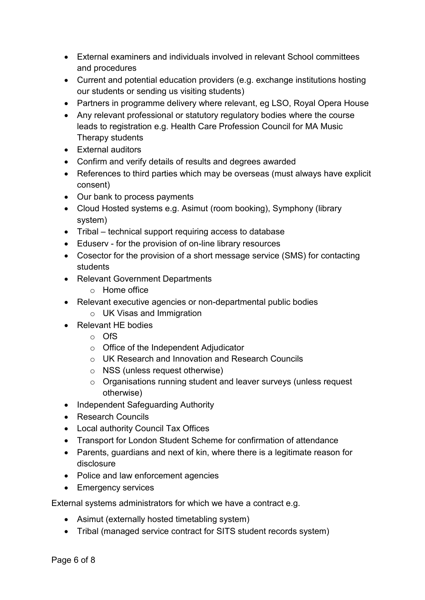- External examiners and individuals involved in relevant School committees and procedures
- Current and potential education providers (e.g. exchange institutions hosting our students or sending us visiting students)
- Partners in programme delivery where relevant, eg LSO, Royal Opera House
- Any relevant professional or statutory regulatory bodies where the course leads to registration e.g. Health Care Profession Council for MA Music Therapy students
- External auditors
- Confirm and verify details of results and degrees awarded
- References to third parties which may be overseas (must always have explicit consent)
- Our bank to process payments
- Cloud Hosted systems e.g. Asimut (room booking), Symphony (library system)
- Tribal technical support requiring access to database
- Eduserv for the provision of on-line library resources
- Cosector for the provision of a short message service (SMS) for contacting students
- Relevant Government Departments
	- o Home office
- Relevant executive agencies or non-departmental public bodies
	- o UK Visas and Immigration
- Relevant HF bodies
	- o OfS
	- o Office of the Independent Adjudicator
	- o UK Research and Innovation and Research Councils
	- o NSS (unless request otherwise)
	- o Organisations running student and leaver surveys (unless request otherwise)
- Independent Safeguarding Authority
- Research Councils
- Local authority Council Tax Offices
- Transport for London Student Scheme for confirmation of attendance
- Parents, guardians and next of kin, where there is a legitimate reason for disclosure
- Police and law enforcement agencies
- Emergency services

External systems administrators for which we have a contract e.g.

- Asimut (externally hosted timetabling system)
- Tribal (managed service contract for SITS student records system)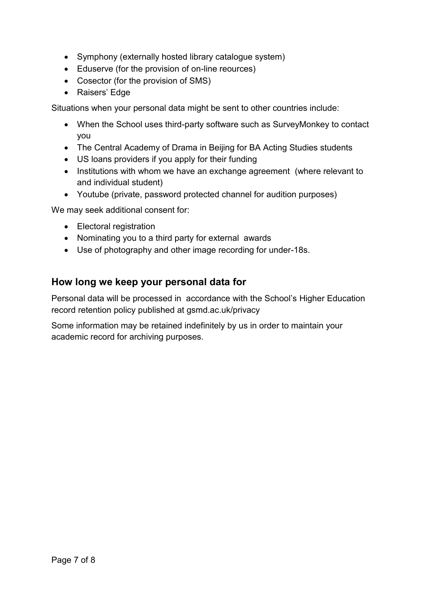- Symphony (externally hosted library catalogue system)
- Eduserve (for the provision of on-line reources)
- Cosector (for the provision of SMS)
- Raisers' Edge

Situations when your personal data might be sent to other countries include:

- When the School uses third-party software such as SurveyMonkey to contact you
- The Central Academy of Drama in Beijing for BA Acting Studies students
- US loans providers if you apply for their funding
- Institutions with whom we have an exchange agreement (where relevant to and individual student)
- Youtube (private, password protected channel for audition purposes)

We may seek additional consent for:

- Electoral registration
- Nominating you to a third party for external awards
- Use of photography and other image recording for under-18s.

#### **How long we keep your personal data for**

Personal data will be processed in accordance with the School's Higher Education record retention policy published at gsmd.ac.uk/privacy

Some information may be retained indefinitely by us in order to maintain your academic record for archiving purposes.